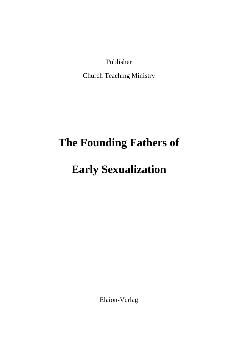Publisher

Church Teaching Ministry

## **The Founding Fathers of**

## **Early Sexualization**

Elaion-Verlag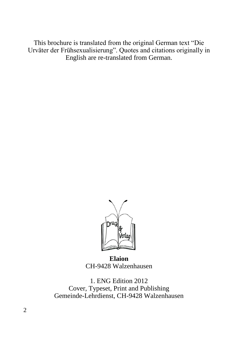This brochure is translated from the original German text "Die Urväter der Frühsexualisierung". Quotes and citations originally in English are re-translated from German.



**Elaion** CH-9428 Walzenhausen

1. ENG Edition 2012 Cover, Typeset, Print and Publishing Gemeinde-Lehrdienst, CH-9428 Walzenhausen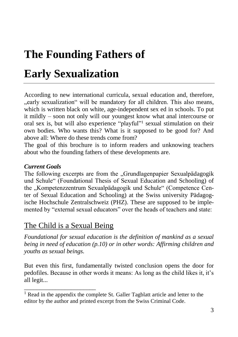# **The Founding Fathers of**

## **Early Sexualization**

According to new international curricula, sexual education and, therefore, "early sexualization" will be mandatory for all children. This also means, which is written black on white, age-independent sex ed in schools. To put it mildly – soon not only will our youngest know what anal intercourse or oral sex is, but will also experience "playful"<sup>1</sup> sexual stimulation on their own bodies. Who wants this? What is it supposed to be good for? And above all: Where do these trends come from?

The goal of this brochure is to inform readers and unknowing teachers about who the founding fathers of these developments are.

#### *Current Goals*

The following excerpts are from the "Grundlagenpapier Sexualpädagogik und Schule" (Foundational Thesis of Sexual Education and Schooling) of the ..Kompetenzzentrum Sexualpädagogik und Schule" (Competence Center of Sexual Education and Schooling) at the Swiss university Pädagogische Hochschule Zentralschweiz (PHZ). These are supposed to be implemented by "external sexual educators" over the heads of teachers and state:

## The Child is a Sexual Being

\_\_\_\_\_\_\_\_\_\_\_\_\_\_\_\_\_\_\_\_\_\_\_

*Foundational for sexual education is the definition of mankind as a sexual being in need of education (p.10) or in other words: Affirming children and youths as sexual beings.* 

But even this first, fundamentally twisted conclusion opens the door for pedofiles. Because in other words it means: As long as the child likes it, it's all legit...

<sup>&</sup>lt;sup>1</sup> Read in the appendix the complete St. Galler Tagblatt article and letter to the editor by the author and printed excerpt from the Swiss Criminal Code.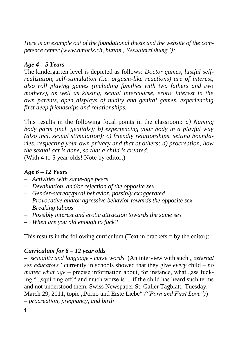*Here is an example out of the foundational thesis and the website of the competence center (www.amorix.ch, button ..Sexualerziehung"):* 

#### *Age 4 – 5 Years*

The kindergarten level is depicted as follows: *Doctor games, lustful selfrealization, self-stimulation (i.e. orgasm-like reactions) are of interest, also roll playing games (including families with two fathers and two mothers), as well as kissing, sexual intercourse, erotic interest in the own parents, open displays of nudity and genital games, experiencing first deep friendships and relationships.*

This results in the following focal points in the classroom: *a) Naming body parts (incl. genitals); b) experiencing your body in a playful way (also incl. sexual stimulation); c) friendly relationships, setting boundaries, respecting your own privacy and that of others; d) procreation, how the sexual act is done, so that a child is created.* (With 4 to 5 year olds! Note by editor.)

#### *Age 6 – 12 Years*

- *– Activities with same-age peers*
- *– Devaluation, and/or rejection of the opposite sex*
- *– Gender-stereotypical behavior, possibly exaggerated*
- *– Provocative and/or agressive behavior towards the opposite sex*
- *– Breaking taboos*
- *– Possibly interest and erotic attraction towards the same sex*
- *– When are you old enough to fuck?*

This results in the following curriculum (Text in brackets  $=$  by the editor):

#### *Curriculum for 6 – 12 year olds*

*– sexuality and language - curse words* (An interview with such *"external sex educators"* currently in schools showed that they give *every* child *– no matter what age –* precise information about, for instance, what , ass fucking,", squirting off," and much worse is ... if the child has heard such terms and not understood them. Swiss Newspaper St. Galler Tagblatt, Tuesday, March 29, 2011, topic "Porno und Erste Liebe" *("Porn and First Love")*) *– procreation, pregnancy, and birth procreation, pregnancy and birth*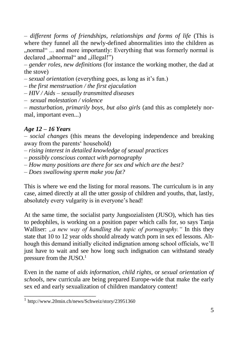*– different forms of friendships, relationships and forms of life* (This is where they funnel all the newly-defined abnormalities into the children as "... normal" ... and more importantly: Everything that was formerly normal is declared "abnormal" and "illegal!")

*– gender roles, new definitions* (for instance the working mother, the dad at the stove)

*– sexual orientation* (everything goes, as long as it's fun.)

*– the first menstruation / the first ejaculation*

*– HIV / Aids – sexually transmitted diseases*

*– sexual molestation / violence*

*– masturbation, primarily boys, but also girls* (and this as completely normal, important even...)

#### *Age 12 – 16 Years*

*– social changes* (this means the developing independence and breaking away from the parents' household)

*– rising interest in detailed knowledge of sexual practices*

*– possibly conscious contact with pornography*

*– How many positions are there for sex and which are the best?*

*– Does swallowing sperm make you fat?*

This is where we end the listing for moral reasons. The curriculum is in any case, aimed directly at all the utter gossip of children and youths, that, lastly, absolutely every vulgarity is in everyone's head!

At the same time, the socialist party Jungsozialisten (JUSO), which has ties to pedophiles, is working on a position paper which calls for, so says Tanja Walliser: *"a new way of handling the topic of pornography*." In this they state that 10 to 12 year olds should already watch porn in sex ed lessons. Although this demand initially elicited indignation among school officials, we'll just have to wait and see how long such indignation can withstand steady pressure from the  $JUSO<sup>1</sup>$ 

Even in the name of *aids information, child rights,* or *sexual orientation of schools,* new curricula are being prepared Europe-wide that make the early sex ed and early sexualization of children mandatory content!

\_\_\_\_\_\_\_\_\_\_\_\_\_\_\_\_\_\_\_\_\_\_\_

<sup>1</sup> http://www.20min.ch/news/Schweiz/story/23951360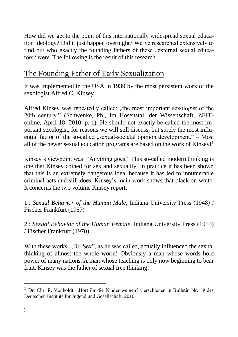How did we get to the point of this internationally widespread sexual education ideology? Did it just happen overnight? We've researched extensively to find out who exactly the founding fathers of these "external sexual educators" were. The following is the result of this research.

## The Founding Father of Early Sexualization

It was implemented in the USA in 1939 by the most persistent work of the sexologist Alfred C. Kinsey.

Alfred Kinsey was repeatedly called: "the most important sexologist of the 20th century." (Schwenke, Ph., Im Hosenstall der Wissenschaft, ZEITonline, April 18, 2010, p. 1). He should not exactly be called the most important sexologist, for reasons we will still discuss, but surely the most influential factor of the so-called ..sexual-societal opinion development. $-$  Most all of the newer sexual education programs are based on the work of Kinsey!<sup>1</sup>

Kinsey's viewpoint was: "Anything goes." This so-called modern thinking is one that Kinsey coined for sex and sexuality. In practice it has been shown that this is an extremely dangerous idea, because it has led to innumerable criminal acts and still does. Kinsey's main work shows that black on white. It concerns the two volume Kinsey report:

1.: *Sexual Behavior of the Human Male*, Indiana University Press (1948) / Fischer Frankfurt (1967)

2.: *Sexual Behavior of the Human Female*, Indiana University Press (1953) / Fischer Frankfurt (1970)

With these works, "Dr. Sex", as he was called, actually influenced the sexual thinking of almost the whole world! Obviously a man whose words hold power of many nations. A man whose teaching is only now beginning to bear fruit. Kinsey was the father of sexual free thinking!

<sup>&</sup>lt;sup>1</sup> Dr. Chr. R. Vonholdt: "Hört ihr die Kinder weinen?", erschienen in Bulletin Nr. 19 des Deutschen Instituts für Jugend und Gesellschaft, 2010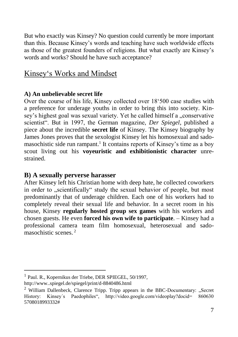But who exactly was Kinsey? No question could currently be more important than this. Because Kinsey's words and teaching have such worldwide effects as those of the greatest founders of religions. But what exactly are Kinsey's words and works? Should he have such acceptance?

## Kinsey's Works and Mindset

#### **A) An unbelievable secret life**

Over the course of his life, Kinsey collected over 18'500 case studies with a preference for underage youths in order to bring this into society. Kinsey's highest goal was sexual variety. Yet he called himself a "conservative scientist". But in 1997, the German magazine, *Der Spiegel*, published a piece about the incredible **secret life** of Kinsey. The Kinsey biography by James Jones proves that the sexologist Kinsey let his homosexual and sadomasochistic side run rampant.<sup>1</sup> It contains reports of Kinsey's time as a boy scout living out his **voyeuristic and exhibitionistic character** unrestrained.

#### **B) A sexually perverse harasser**

After Kinsey left his Christian home with deep hate, he collected coworkers in order to "scientifically" study the sexual behavior of people, but most predominantly that of underage children. Each one of his workers had to completely reveal their sexual life and behavior. In a secret room in his house, Kinsey **regularly hosted group sex games** with his workers and chosen guests. He even **forced his own wife to participate**. – Kinsey had a professional camera team film homosexual, heterosexual and sadomasochistic scenes<sup>2</sup>

 $\overline{a}$ 

<sup>1</sup> Paul. R., Kopernikus der Triebe, DER SPIEGEL, 50/1997,

http://www..spiegel.de/spiegel/print/d-8840486.html

 $2$  William Dallenbeck, Clarence Tripp. Tripp appears in the BBC-Documentary: "Secret History: Kinsey's Paedophiles", http://video.google.com/videoplay?docid= 860630 5708018993332#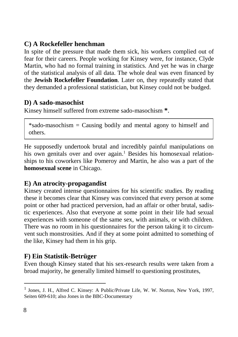#### **C) A Rockefeller henchman**

In spite of the pressure that made them sick, his workers complied out of fear for their careers. People working for Kinsey were, for instance, Clyde Martin, who had no formal training in statistics. And yet he was in charge of the statistical analysis of all data. The whole deal was even financed by the **Jewish Rockefeller Foundation**. Later on, they repeatedly stated that they demanded a professional statistician, but Kinsey could not be budged.

#### **D) A sado-masochist**

Kinsey himself suffered from extreme sado-masochism **\***.

\*sado-masochism = Causing bodily and mental agony to himself and others.

He supposedly undertook brutal and incredibly painful manipulations on his own genitals over and over again.<sup>1</sup> Besides his homosexual relationships to his coworkers like Pomeroy and Martin, he also was a part of the **homosexual scene** in Chicago.

#### **E) An atrocity-propagandist**

Kinsey created intense questionnaires for his scientific studies. By reading these it becomes clear that Kinsey was convinced that every person at some point or other had practiced perversion, had an affair or other brutal, sadistic experiences. Also that everyone at some point in their life had sexual experiences with someone of the same sex, with animals, or with children. There was no room in his questionnaires for the person taking it to circumvent such monstrosities. And if they at some point admitted to something of the like, Kinsey had them in his grip.

#### **F) Ein Statistik-Betrüger**

Even though Kinsey stated that his sex-research results were taken from a broad majority, he generally limited himself to questioning prostitutes,

<sup>&</sup>lt;sup>1</sup> Jones, J. H., Alfred C. Kinsey: A Public/Private Life, W. W. Norton, New York, 1997, Seiten 609-610; also Jones in the BBC-Documentary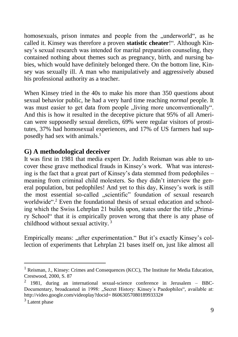homosexuals, prison inmates and people from the "underworld", as he called it. Kinsey was therefore a proven **statistic cheater**!". Although Kinsey's sexual research was intended for marital preparation counseling, they contained nothing about themes such as pregnancy, birth, and nursing babies, which would have definitely belonged there. On the bottom line, Kinsey was sexually ill. A man who manipulatively and aggressively abused his professional authority as a teacher.

When Kinsey tried in the 40s to make his more than 350 questions about sexual behavior public, he had a very hard time reaching *normal* people. It was must easier to get data from people , living more unconventionally". And this is how it resulted in the deceptive picture that 95% of all American were supposedly sexual derelicts, 69% were regular visitors of prostitutes, 37% had homosexual experiences, and 17% of US farmers had supposedly had sex with animals. 1

#### **G) A methodological deceiver**

It was first in 1981 that media expert Dr. Judith Reisman was able to uncover these grave methodical frauds in Kinsey's work. What was interesting is the fact that a great part of Kinsey's data stemmed from pedophiles – meaning from criminal child molesters. So they didn't interview the general population, but pedophiles! And yet to this day, Kinsey's work is still the most essential so-called "scientific" foundation of sexual research worldwide". <sup>2</sup> Even the foundational thesis of sexual education and schooling which the Swiss Lehrplan 21 builds upon, states under the title "Primary School" that it is empirically proven wrong that there is any phase of childhood without sexual activity. <sup>3</sup>

Empirically means: "after experimentation." But it's exactly Kinsey's collection of experiments that Lehrplan 21 bases itself on, just like almost all

<sup>&</sup>lt;sup>1</sup> Reisman, J., Kinsey: Crimes and Consequences (KCC), The Institute for Media Education, Crestwood, 2000, S. 87

 $2$  1981, during an international sexual-science conference in Jerusalem – BBC-Documentary, broadcasted in 1998: "Secret History: Kinsey's Paedophiles", available at: http://video.google.com/videoplay?docid= 8606305708018993332#

<sup>3</sup> Latent phase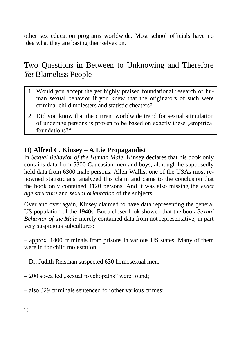other sex education programs worldwide. Most school officials have no idea what they are basing themselves on.

## Two Questions in Between to Unknowing and Therefore *Yet* Blameless People

- 1. Would you accept the yet highly praised foundational research of human sexual behavior if you knew that the originators of such were criminal child molesters and statistic cheaters?
- 2. Did you know that the current worldwide trend for sexual stimulation of underage persons is proven to be based on exactly these "empirical foundations?"

#### **H) Alfred C. Kinsey – A Lie Propagandist**

In *Sexual Behavior of the Human Male*, Kinsey declares that his book only contains data from 5300 Caucasian men and boys, although he supposedly held data from 6300 male persons. Allen Wallis, one of the USAs most renowned statisticians, analyzed this claim and came to the conclusion that the book only contained 4120 persons. And it was also missing the *exact age structure* and *sexual orientation* of the subjects.

Over and over again, Kinsey claimed to have data representing the general US population of the 1940s. But a closer look showed that the book *Sexual Behavior of the Male* merely contained data from not representative, in part very suspicious subcultures:

– approx. 1400 criminals from prisons in various US states: Many of them were in for child molestation.

- Dr. Judith Reisman suspected 630 homosexual men,
- $-200$  so-called "sexual psychopaths" were found;
- also 329 criminals sentenced for other various crimes;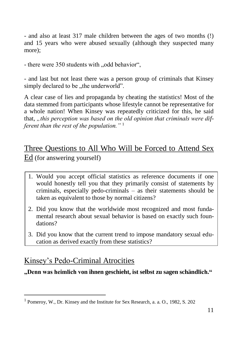- and also at least 317 male children between the ages of two months (!) and 15 years who were abused sexually (although they suspected many more):

- there were 350 students with "odd behavior",

- and last but not least there was a person group of criminals that Kinsey simply declared to be ..the underworld".

A clear case of lies and propaganda by cheating the statistics! Most of the data stemmed from participants whose lifestyle cannot be representative for a whole nation! When Kinsey was repeatedly criticized for this, he said that, *"this perception was based on the old opinion that criminals were different than the rest of the population."* <sup>1</sup>

## Three Questions to All Who Will be Forced to Attend Sex Ed (for answering yourself)

- 1. Would you accept official statistics as reference documents if one would honestly tell you that they primarily consist of statements by criminals, especially pedo-criminals – as their statements should be taken as equivalent to those by normal citizens?
- 2. Did you know that the worldwide most recognized and most fundamental research about sexual behavior is based on exactly such foundations?
- 3. Did you know that the current trend to impose mandatory sexual education as derived exactly from these statistics?

## Kinsey's Pedo-Criminal Atrocities

l

**"Denn was heimlich von ihnen geschieht, ist selbst zu sagen schändlich."**

<sup>1</sup> Pomeroy, W., Dr. Kinsey and the Institute for Sex Research, a. a. O., 1982, S. 202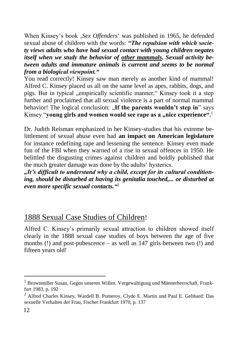When Kinsey's book '*Sex Offenders*' was published in 1965, he defended sexual abuse of children with the words: *"The repulsion with which society views adults who have had sexual contact with young children negates itself when we study the behavior of other mammals. Sexual activity between adults and immature animals is current and seems to be normal from a biological viewpoint."*

You read correctly! Kinsey saw man merely as another kind of mammal! Alfred C. Kinsey placed us all on the same level as apes, rabbits, dogs, and pigs. But in typical "empirically scientific manner," Kinsey took it a step further and proclaimed that all sexual violence is a part of normal mammal behavior! The logical conclusion: **..If the parents wouldn't step in**" says Kinsey "**young girls and women would see rape as a "nice experience**".<sup>1</sup>

Dr. Judith Reisman emphasized in her Kinsey-studies that his extreme belittlement of sexual abuse even had **an impact on American legislature** for instance redefining rape and lessening the sentence. Kinsey even made fun of the FBI when they warned of a rise in sexual offences in 1950. He belittled the disgusting crimes against children and boldly published that the much greater damage was done by the adults' hysterics.

*"It's difficult to understand why a child, except for its cultural conditioning, should be disturbed at having its genitalia touched,... or disturbed at even more specific sexual contacts."*<sup>2</sup>

## 1888 Sexual Case Studies of Children!

Alfred C. Kinsey's primarily sexual attraction to children showed itself clearly in the 1888 sexual case studies of boys between the age of five months (!) and post-pubescence – as well as 147 girls between two (!) and fifteen years old!

<sup>1</sup> Brownmiller Susan, Gegen unseren Willen. Vergewaltigung und Männerherrschaft, Frankfurt 1983, p. 192

<sup>2</sup> Alfred Charles Kinsey, Wardell B. Pomeroy, Clyde E. Martin und Paul E. Gebhard: Das sexuelle Verhalten der Frau, Fischer Frankfurt 1970, p. 137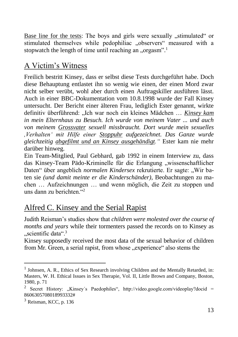Base line for the tests: The boys and girls were sexually "stimulated" or stimulated themselves while pedophiliac "observers" measured with a stopwatch the length of time until reaching an "orgasm".<sup>1</sup>

## A Victim's Witness

Freilich bestritt Kinsey, dass er selbst diese Tests durchgeführt habe. Doch diese Behauptung entlastet ihn so wenig wie einen, der einen Mord zwar nicht selber verübt, wohl aber durch einen Auftragskiller ausführen lässt. Auch in einer BBC-Dokumentation vom 10.8.1998 wurde der Fall Kinsey untersucht. Der Bericht einer älteren Frau, lediglich Ester genannt, wirkte definitiv überführend: "Ich war noch ein kleines Mädchen … *Kinsey kam in mein Elternhaus zu Besuch. Ich wurde von meinem Vater ... und auch von meinem Grossvater sexuell missbraucht. Dort wurde mein sexuelles ,Verhalten' mit Hilfe einer Stoppuhr aufgezeichnet. Das Ganze wurde gleichzeitig abgefilmt und an Kinsey ausgehändigt."* Ester kam nie mehr darüber hinweg.

Ein Team-Mitglied, Paul Gebhard, gab 1992 in einem Interview zu, dass das Kinsey-Team Pädo-Kriminelle für die Erlangung "wissenschaftlicher Daten" über angeblich *normalen Kindersex* rekrutierte. Er sagte: "Wir baten sie *(und damit meinte er die Kinderschänder)*, Beobachtungen zu machen … Aufzeichnungen … und wenn möglich, die Zeit zu stoppen und uns dann zu berichten $.42$ 

## Alfred C. Kinsey and the Serial Rapist

Judith Reisman's studies show that *children were molested over the course of months and years* while their tormenters passed the records on to Kinsey as  $\ldots$ scientific data $\ldots$ <sup>3</sup>

Kinsey supposedly received the most data of the sexual behavior of children from Mr. Green, a serial rapist, from whose "experience" also stems the

<sup>&</sup>lt;sup>1</sup> Johnsen, A. R., Ethics of Sex Research involving Children and the Mentally Retarded, in: Masters, W. H. Ethical Issues in Sex Therapie, Vol. II, Little Brown and Company, Boston, 1980, p. 71

<sup>2</sup> Secret History: "Kinsey's Paedophiles", http://video.google.com/videoplay?docid = 8606305708018993332#

<sup>&</sup>lt;sup>3</sup> Reisman, KCC, p. 136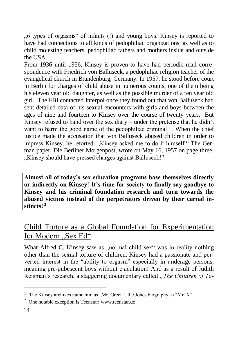"6 types of orgasms" of infants (!) and young boys. Kinsey is reported to have had connections to all kinds of pedophiliac organizations, as well as to child molesting teachers, pedophiliac fathers and mothers inside and outside the  $IISA^{-1}$ 

From 1936 until 1956, Kinsey is proven to have had periodic mail correspondence with Friedrich von Balluseck, a pedophiliac religion teacher of the evangelical church in Brandenburg, Germany. In 1957, he stood before court in Berlin for charges of child abuse in numerous counts, one of them being his eleven year old daughter, as well as the possible murder of a ten year old girl. The FBI contacted Interpol once they found out that von Balluseck had sent detailed data of his sexual encounters with girls and boys between the ages of nine and fourteen to Kinsey over the course of twenty years. But Kinsey refused to hand over the sex diary – under the pretense that he didn't want to harm the good name of the pedophiliac criminal… When the chief justice made the accusation that von Balluseck abused children in order to impress Kinsey, he retorted: "Kinsey asked me to do it himself." The German paper, Die Berliner Morgenpost, wrote on May 16, 1957 on page three: "Kinsey should have pressed charges against Balluseck!"

**Almost all of today's sex education programs base themselves directly or indirectly on Kinsey! It's time for society to finally say goodbye to Kinsey and his criminal foundation research and turn towards the abused victims instead of the perpetrators driven by their carnal instincts! <sup>2</sup>**

## Child Torture as a Global Foundation for Experimentation for Modern "Sex Ed"

What Alfred C. Kinsey saw as "normal child sex" was in reality nothing other than the sexual torture of children. Kinsey had a passionate and perverted interest in the "ability to orgasm" especially in underage persons, meaning pre-pubescent boys without ejaculation! And as a result of Judith Reisman's research, a staggering documentary called *"The Children of Ta-*

 $\overline{a}$ 

 $1<sup>1</sup>$  The Kinsey archives name him as "Mr. Green", the Jones biography as "Mr. X".

<sup>&</sup>lt;sup>2</sup> One notable exception is Teenstar: www.teenstar.de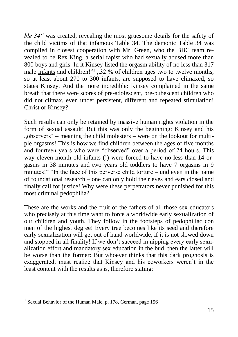*ble 34"* was created, revealing the most gruesome details for the safety of the child victims of that infamous Table 34. The demonic Table 34 was compiled in closest cooperation with Mr. Green, who the BBC team revealed to be Rex King, a serial rapist who had sexually abused more than 800 boys and girls. In it Kinsey listed the orgasm ability of no less than 317 male infants and children!"<sup>1</sup>, 32 % of children ages two to twelve months, so at least about 270 to 300 infants, are supposed to have climaxed, so states Kinsey. And the more incredible: Kinsey complained in the same breath that there were scores of pre-adolescent, pre-pubescent children who did not climax, even under persistent, different and repeated stimulation! Christ or Kinsey?

Such results can only be retained by massive human rights violation in the form of sexual assault! But this was only the beginning: Kinsey and his ... observers " – meaning the child molesters – were on the lookout for multiple orgasms! This is how we find children between the ages of five months and fourteen years who were "observed" over a period of 24 hours. This way eleven month old infants (!) were forced to have no less than 14 orgasms in 38 minutes and two years old toddlers to have 7 orgasms in 9 minutes!" "In the face of this perverse child torture – und even in the name of foundational research – one can only hold their eyes and ears closed and finally call for justice! Why were these perpetrators never punished for this most criminal pedophilia?

These are the works and the fruit of the fathers of all those sex educators who precisely at this time want to force a worldwide early sexualization of our children and youth. They follow in the footsteps of pedophiliac con men of the highest degree! Every tree becomes like its seed and therefore early sexualization will get out of hand worldwide, if it is not slowed down and stopped in all finality! If we don't succeed in nipping every early sexualization effort and mandatory sex education in the bud, then the latter will be worse than the former: But whoever thinks that this dark prognosis is exaggerated, must realize that Kinsey and his coworkers weren't in the least content with the results as is, therefore stating:

<sup>&</sup>lt;sup>1</sup> Sexual Behavior of the Human Male, p. 178, German, page 156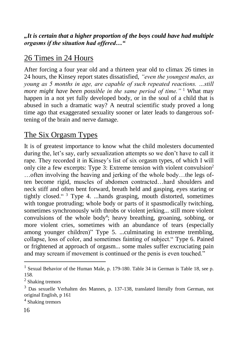#### *"It is certain that a higher proportion of the boys could have had multiple orgasms if the situation had offered…"*

## 26 Times in 24 Hours

After forcing a four year old and a thirteen year old to climax 26 times in 24 hours, the Kinsey report states dissatisfied, *"even the youngest males, as young as 5 months in age, are capable of such repeated reactions. …still more might have been possible in the same period of time.*<sup>" 1</sup> What may happen in a not yet fully developed body, or in the soul of a child that is abused in such a dramatic way? A neutral scientific study proved a long time ago that exaggerated sexuality sooner or later leads to dangerous softening of the brain and nerve damage.

## The Six Orgasm Types

It is of greatest importance to know what the child molesters documented during the, let's say, early sexualization attempts so we don't have to call it rape. They recorded it in Kinsey's list of six orgasm types, of which I will only cite a few excerpts: Type 3: Extreme tension with violent convulsion<sup>2</sup> …often involving the heaving and jerking of the whole body…the legs often become rigid, muscles of abdomen contracted…hard shoulders and neck stiff and often bent forward, breath held and gasping, eyes staring or tightly closed." <sup>3</sup> Type 4. ...hands grasping, mouth distorted, sometimes with tongue protruding; whole body or parts of it spasmodically twitching, sometimes synchronously with throbs or violent jerking... still more violent convulsions of the whole body<sup>4</sup>; heavy breathing, groaning, sobbing, or more violent cries, sometimes with an abundance of tears (especially among younger children)" Type 5. ...culminating in extreme trembling, collapse, loss of color, and sometimes fainting of subject." Type 6. Pained or frightened at approach of orgasm... some males suffer excruciating pain and may scream if movement is continued or the penis is even touched."

4 Shaking tremors

 $\overline{a}$ 

<sup>&</sup>lt;sup>1</sup> Sexual Behavior of the Human Male, p. 179-180. Table 34 in German is Table 18, see p. 158.

<sup>&</sup>lt;sup>2</sup> Shaking tremors

<sup>3</sup> Das sexuelle Verhalten des Mannes, p. 137-138, translated literally from German, not original English, p 161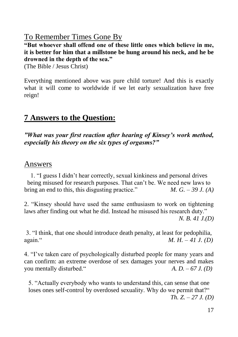## To Remember Times Gone By

**"But whoever shall offend one of these little ones which believe in me, it is better for him that a millstone be hung around his neck, and he be drowned in the depth of the sea."**

(The Bible / Jesus Christ)

Everything mentioned above was pure child torture! And this is exactly what it will come to worldwide if we let early sexualization have free reign!

## **7 Answers to the Question:**

*"What was your first reaction after hearing of Kinsey's work method, especially his theory on the six types of orgasms?"*

### Answers

1. "I guess I didn't hear correctly, sexual kinkiness and personal drives being misused for research purposes. That can't be. We need new laws to bring an end to this, this disgusting practice."  $M, G, -39 J, (A)$ 

2. "Kinsey should have used the same enthusiasm to work on tightening laws after finding out what he did. Instead he misused his research duty." *N. B. 41 J.(D)*

3. "I think, that one should introduce death penalty, at least for pedophilia, again." *M. H. – 41 J. (D)*

4. "I've taken care of psychologically disturbed people for many years and can confirm: an extreme overdose of sex damages your nerves and makes you mentally disturbed."  $A, D, -67 J, (D)$ 

5. "Actually everybody who wants to understand this, can sense that one loses ones self-control by overdosed sexuality. Why do we permit that?" *Th. Z. – 27 J. (D)*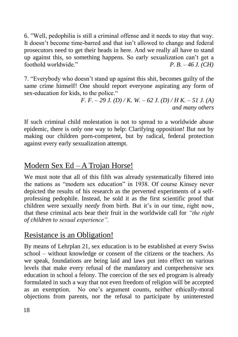6. "Well, pedophilia is still a criminal offense and it needs to stay that way. It doesn't become time-barred and that isn't allowed to change and federal prosecutors need to get their heads in here. And we really all have to stand up against this, so something happens. So early sexualization can't get a foothold worldwide." *P. B. – 46 J. (CH)*

7. "Everybody who doesn't stand up against this shit, becomes guilty of the same crime himself! One should report everyone aspirating any form of sex-education for kids, to the police."

> *F. F. – 29 J. (D) / K. W. – 62 J. (D) / H K. – 51 J. (A) and many others*

If such criminal child molestation is not to spread to a worldwide abuse epidemic, there is only one way to help: Clarifying opposition! But not by making our children porn-competent, but by radical, federal protection against every early sexualization attempt.

## Modern Sex Ed – A Trojan Horse!

We must note that all of this filth was already systematically filtered into the nations as "modern sex education" in 1938. Of course Kinsey never depicted the results of his research as the perverted experiments of a selfprofessing pedophile. Instead, he sold it as the first scientific proof that children were sexually *needy* from birth. But it's in our time, right now, that these criminal acts bear their fruit in the worldwide call for *"the right of children to sexual experience".*

## Resistance is an Obligation!

By means of Lehrplan 21, sex education is to be established at every Swiss school – without knowledge or consent of the citizens or the teachers. As we speak, foundations are being laid and laws put into effect on various levels that make every refusal of the mandatory and comprehensive sex education in school a felony. The coercion of the sex ed program is already formulated in such a way that not even freedom of religion will be accepted as an exemption. No one's argument counts, neither ethically-moral objections from parents, nor the refusal to participate by uninterested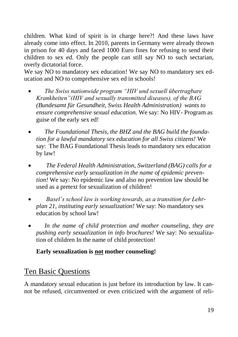children. What kind of spirit is in charge here?! And these laws have already come into effect. In 2010, parents in Germany were already thrown in prison for 40 days and faced 1000 Euro fines for refusing to send their children to sex ed. Only the people can still say NO to such sectarian, overly dictatorial force.

We say NO to mandatory sex education! We say NO to mandatory sex education and NO to comprehensive sex ed in schools!

- *The Swiss nationwide program "HIV und sexuell übertragbare Krankheiten"(HIV and sexually transmitted diseases), of the BAG (Bundesamt für Gesundheit, Swiss Health Administration) wants to ensure comprehensive sexual education.* We say: No HIV- Program as guise of the early sex ed!
- *The Foundational Thesis, the BHZ and the BAG build the foundation for a lawful mandatory sex education for all Swiss citizens!* We say: The BAG Foundational Thesis leads to mandatory sex education by law!
- *The Federal Health Administration, Switzerland (BAG) calls for a comprehensive early sexualization in the name of epidemic prevention!* We say: No epidemic law and also no prevention law should be used as a pretext for sexualization of children!
- *Basel's school law is working towards, as a transition for Lehrplan 21, instituting early sexualization!* We say: No mandatory sex education by school law!
- *In the name of child protection and mother counseling, they are pushing early sexualization in info brochures!* We say: No sexualization of children In the name of child protection!

#### **Early sexualization is not mother counseling!**

## Ten Basic Questions

A mandatory sexual education is just before its introduction by law. It cannot be refused, circumvented or even criticized with the argument of reli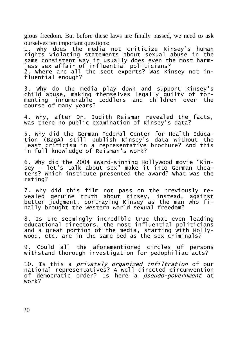gious freedom. But before these laws are finally passed, we need to ask ourselves ten important questions:

1. Why does the media not criticize Kinsey's human rights violating statements about sexual abuse in the same consistent way it usually does even the most harmless sex affair of influential politicians?

2. Where are all the sect experts? Was Kinsey not influential enough?

3. Why do the media play down and support Kinsey's child abuse, making themselves legally guilty of tormenting innumerable toddlers and children over the course of many years?

4. Why, after Dr. Judith Reisman revealed the facts, was there no public examination of Kinsey's data?

5. Why did the German Federal Center for Health Education (BZgA) still publish Kinsey's data without the least criticism in a representative brochure? And this in full knowledge of Reisman's work?

6. Why did the 2004 award-winning Hollywood movie "Kinsey - let's talk about sex" make it into German theaters? Which institute presented the award? What was the rating?

7. Why did this film not pass on the previously revealed genuine truth about Kinsey, instead, against better judgment, portraying Kinsey as the man who finally brought the western world sexual freedom?

8. Is the seemingly incredible true that even leading educational directors, the most influential politicians and a great portion of the media, starting with Hollywood, etc. are in the same bed as the sex criminals?

9. Could all the aforementioned circles of persons withstand thorough investigation for pedophiliac acts?

10. Is this a privately organized infiltration of our national representatives? A well-directed circumvention of democratic order? Is here a pseudo-government at work?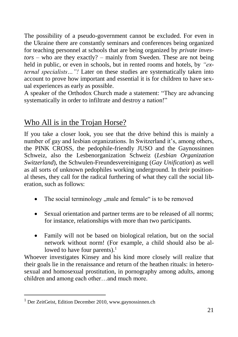The possibility of a pseudo-government cannot be excluded. For even in the Ukraine there are constantly seminars and conferences being organized for teaching personnel at schools that are being organized by *private investors* – who are they exactly? – mainly from Sweden. These are not being held in public, or even in schools, but in rented rooms and hotels, by *"external specialists…"!* Later on these studies are systematically taken into account to prove how important and essential it is for children to have sexual experiences as early as possible.

A speaker of the Orthodox Church made a statement: "They are advancing systematically in order to infiltrate and destroy a nation!"

## Who All is in the Trojan Horse?

If you take a closer look, you see that the drive behind this is mainly a number of gay and lesbian organizations. In Switzerland it's, among others, the PINK CROSS, the pedophile-friendly JUSO and the Gaynossinnen Schweiz, also the Lesbenorganization Schweiz (*Lesbian Organization Switzerland*), the Schwulen-Freundesvereinigung (*Gay Unification*) as well as all sorts of unknown pedophiles working underground. In their positional theses, they call for the radical furthering of what they call the social liberation, such as follows:

- The social terminology "male and female" is to be removed
- Sexual orientation and partner terms are to be released of all norms; for instance, relationships with more than two participants.
- Family will not be based on biological relation, but on the social network without norm! (For example, a child should also be allowed to have four parents). $<sup>1</sup>$ </sup>

Whoever investigates Kinsey and his kind more closely will realize that their goals lie in the renaissance and return of the heathen rituals: in heterosexual and homosexual prostitution, in pornography among adults, among children and among each other…and much more.

<sup>1</sup> Der ZeitGeist, Edition December 2010, www.gaynossinnen.ch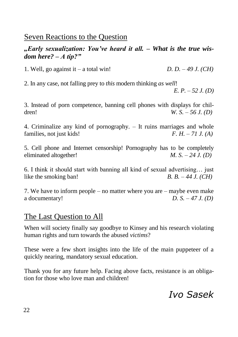## Seven Reactions to the Question

#### *"Early sexualization: You've heard it all. – What is the true wisdom here? – A tip?"*

1. Well, go against it – a total win! *D. D. – 49 J. (CH)*

2. In any case, not falling prey to *this* modern thinking *as well*!

*E. P. – 52 J. (D)*

3. Instead of porn competence, banning cell phones with displays for children! *W. S. – 56 J. (D)*

4. Criminalize any kind of pornography. – It ruins marriages and whole families, not just kids! *F. H. – 71 J. (A)*

5. Cell phone and Internet censorship! Pornography has to be completely eliminated altogether! *M. S. – 24 J. (D)*

6. I think it should start with banning all kind of sexual advertising… just like the smoking ban!  $B. B. -44 J. (CH)$ 

7. We have to inform people – no matter where you are – maybe even make a documentary! *D. S. – 47 J. (D)*

## The Last Question to All

When will society finally say goodbye to Kinsey and his research violating human rights and turn towards the abused *victims*?

These were a few short insights into the life of the main puppeteer of a quickly nearing, mandatory sexual education.

Thank you for any future help. Facing above facts, resistance is an obligation for those who love man and children!

## *Ivo Sasek*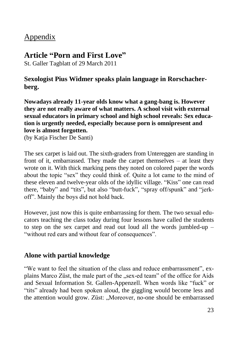## Appendix

#### **Article "Porn and First Love"**

St. Galler Tagblatt of 29 March 2011

#### **Sexologist Pius Widmer speaks plain language in Rorschacherberg.**

**Nowadays already 11-year olds know what a gang-bang is. However they are not really aware of what matters. A school visit with external sexual educators in primary school and high school reveals: Sex education is urgently needed, especially because porn is omnipresent and love is almost forgotten.** 

(by Katja Fischer De Santi)

The sex carpet is laid out. The sixth-graders from Untereggen are standing in front of it, embarrassed. They made the carpet themselves – at least they wrote on it. With thick marking pens they noted on colored paper the words about the topic "sex" they could think of. Quite a lot came to the mind of these eleven and twelve-year olds of the idyllic village. "Kiss" one can read there, "baby" and "tits", but also "butt-fuck", "spray off/spunk" and "jerkoff". Mainly the boys did not hold back.

However, just now this is quite embarrassing for them. The two sexual educators teaching the class today during four lessons have called the students to step on the sex carpet and read out loud all the words jumbled-up – "without red ears and without fear of consequences".

#### **Alone with partial knowledge**

"We want to feel the situation of the class and reduce embarrassment", explains Marco Züst, the male part of the "sex-ed team" of the office for Aids and Sexual Information St. Gallen-Appenzell. When words like "fuck" or "tits" already had been spoken aloud, the giggling would become less and the attention would grow. Züst: "Moreover, no-one should be embarrassed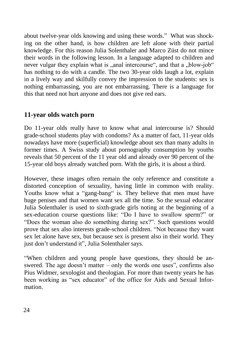about twelve-year olds knowing and using these words." What was shocking on the other hand, is how children are left alone with their partial knowledge. For this reason Julia Solenthaler and Marco Züst do not mince their words in the following lesson. In a language adapted to children and never vulgar they explain what is "anal intercourse", and that a "blow-job" has nothing to do with a candle. The two 30-year olds laugh a lot, explain in a lively way and skilfully convey the impression to the students: sex is nothing embarrassing, you are not embarrassing. There is a language for this that need not hurt anyone and does not give red ears.

#### **11-year olds watch porn**

Do 11-year olds really have to know what anal intercourse is? Should grade-school students play with condoms? As a matter of fact, 11-year olds nowadays have more (superficial) knowledge about sex than many adults in former times. A Swiss study about pornography consumption by youths reveals that 50 percent of the 11 year old and already over 90 percent of the 15-year old boys already watched porn. With the girls, it is about a third.

However, these images often remain the only reference and constitute a distorted conception of sexuality, having little in common with reality. Youths know what a "gang-bang" is. They believe that men must have huge penises and that women want sex all the time. So the sexual educator Julia Solenthaler is used to sixth-grade girls noting at the beginning of a sex-education course questions like: "Do I have to swallow sperm?" or "Does the woman also do something during sex?". Such questions would prove that sex also interests grade-school children. "Not because they want sex let alone have sex, but because sex is present also in their world. They just don't understand it", Julia Solenthaler says.

"When children and young people have questions, they should be answered. The age doesn't matter – only the words one uses", confirms also Pius Widmer, sexologist and theologian. For more than twenty years he has been working as "sex educator" of the office for Aids and Sexual Information.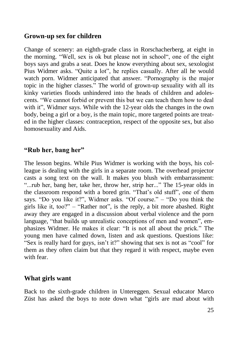#### **Grown-up sex for children**

Change of scenery: an eighth-grade class in Rorschacherberg, at eight in the morning. "Well, sex is ok but please not in school", one of the eight boys says and grabs a seat. Does he know everything about sex, sexologist Pius Widmer asks. "Quite a lot", he replies casually. After all he would watch porn. Widmer anticipated that answer. "Pornography is the major topic in the higher classes." The world of grown-up sexuality with all its kinky varieties floods unhindered into the heads of children and adolescents. "We cannot forbid or prevent this but we can teach them how to deal with it", Widmer says. While with the 12-year olds the changes in the own body, being a girl or a boy, is the main topic, more targeted points are treated in the higher classes: contraception, respect of the opposite sex, but also homosexuality and Aids.

#### **"Rub her, bang her"**

The lesson begins. While Pius Widmer is working with the boys, his colleague is dealing with the girls in a separate room. The overhead projector casts a song text on the wall. It makes you blush with embarrassment: "...rub her, bang her, take her, throw her, strip her..." The 15-year olds in the classroom respond with a bored grin. "That's old stuff", one of them says. "Do you like it?", Widmer asks. "Of course." – "Do you think the girls like it, too?" – "Rather not", is the reply, a bit more abashed. Right away they are engaged in a discussion about verbal violence and the porn language, "that builds up unrealistic conceptions of men and women", emphasizes Widmer. He makes it clear: "It is not all about the prick." The young men have calmed down, listen and ask questions. Questions like: "Sex is really hard for guys, isn't it?" showing that sex is not as "cool" for them as they often claim but that they regard it with respect, maybe even with fear.

#### **What girls want**

Back to the sixth-grade children in Untereggen. Sexual educator Marco Züst has asked the boys to note down what "girls are mad about with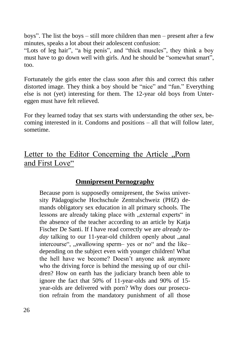boys". The list the boys – still more children than men – present after a few minutes, speaks a lot about their adolescent confusion:

"Lots of leg hair", "a big penis", and "thick muscles", they think a boy must have to go down well with girls. And he should be "somewhat smart", too.

Fortunately the girls enter the class soon after this and correct this rather distorted image. They think a boy should be "nice" and "fun." Everything else is not (yet) interesting for them. The 12-year old boys from Untereggen must have felt relieved.

For they learned today that sex starts with understanding the other sex, becoming interested in it. Condoms and positions – all that will follow later, sometime.

## Letter to the Editor Concerning the Article "Porn and First Love"

#### **Omnipresent Pornography**

Because porn is supposedly omnipresent, the Swiss university Pädagogische Hochschule Zentralschweiz (PHZ) demands obligatory sex education in all primary schools. The lessons are already taking place with "external experts" in the absence of the teacher according to an article by Katja Fischer De Santi. If I have read correctly we are *already today* talking to our 11-year-old children openly about ..anal intercourse", "swallowing sperm– yes or no" and the like– depending on the subject even with younger children! What the hell have we become? Doesn't anyone ask anymore who the driving force is behind the messing up of our children? How on earth has the judiciary branch been able to ignore the fact that 50% of 11-year-olds and 90% of 15 year-olds are delivered with porn? Why does our prosecution refrain from the mandatory punishment of all those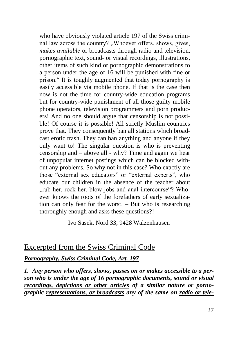who have obviously violated article 197 of the Swiss criminal law across the country? "Whoever offers, shows, gives, *makes available* or broadcasts through radio and television, pornographic text, sound- or visual recordings, illustrations, other items of such kind or pornographic demonstrations to a person under the age of 16 will be punished with fine or prison." It is toughly augmented that today pornography is easily accessible via mobile phone. If that is the case then now is not the time for country-wide education programs but for country-wide punishment of all those guilty mobile phone operators, television programmers and porn producers! And no one should argue that censorship is not possible! Of course it is possible! All strictly Muslim countries prove that. They consequently ban all stations which broadcast erotic trash. They can ban anything and anyone if they only want to! The singular question is who is preventing censorship and – above all - why? Time and again we hear of unpopular internet postings which can be blocked without any problems. So why not in this case? Who exactly are those "external sex educators" or "external experts", who educate our children in the absence of the teacher about ", rub her, rock her, blow jobs and anal intercourse"? Whoever knows the roots of the forefathers of early sexualization can only fear for the worst. – But who is researching thoroughly enough and asks these questions?!

Ivo Sasek, Nord 33, 9428 Walzenhausen

### Excerpted from the Swiss Criminal Code

*Pornography, Swiss Criminal Code, Art. 197*

*1. Any person who offers, shows, passes on or makes accessible to a person who is under the age of 16 pornographic documents, sound or visual recordings, depictions or other articles of a similar nature or pornographic representations, or broadcasts any of the same on radio or tele-*